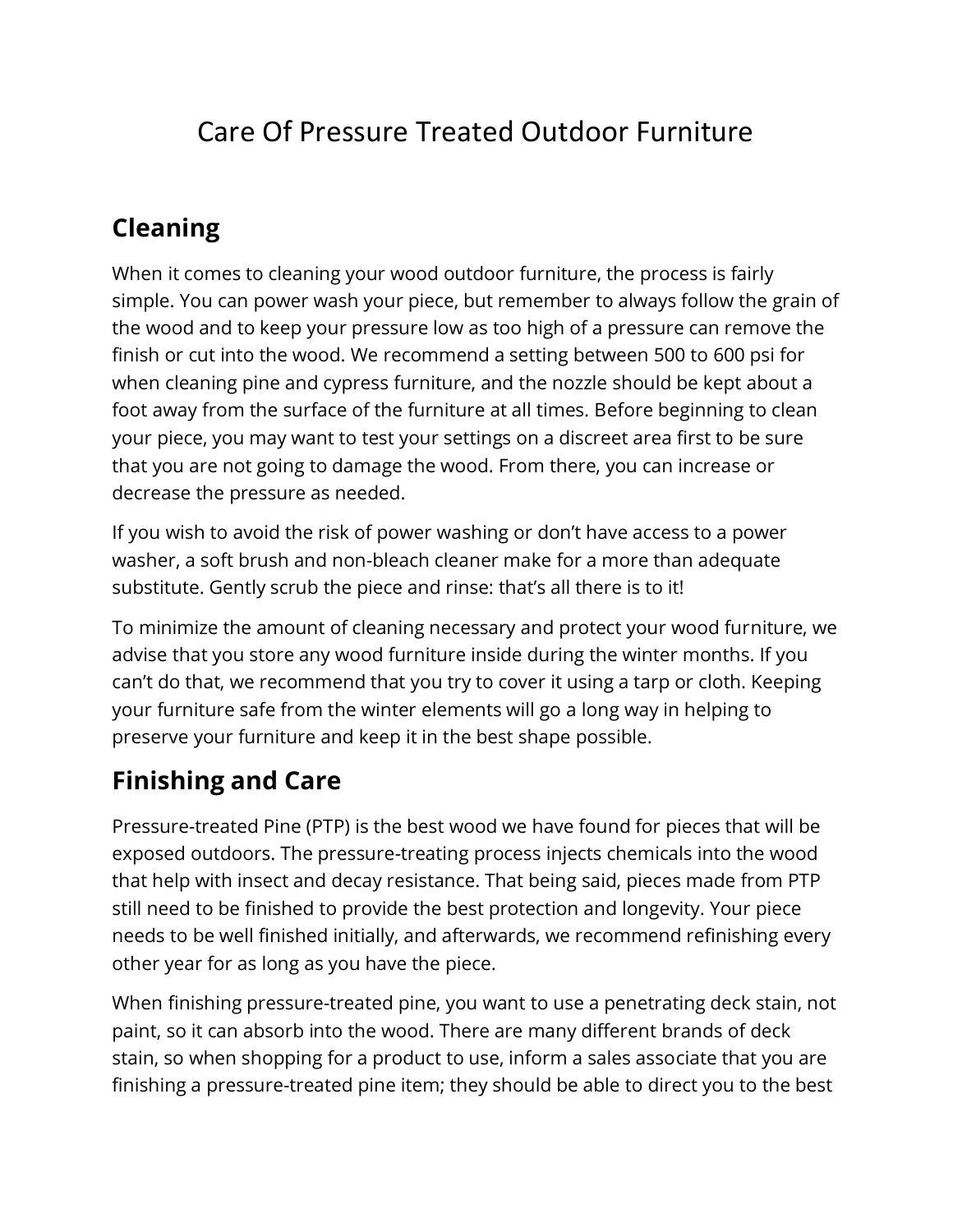## Care Of Pressure Treated Outdoor Furniture

## **Cleaning**

When it comes to cleaning your wood outdoor furniture, the process is fairly simple. You can power wash your piece, but remember to always follow the grain of the wood and to keep your pressure low as too high of a pressure can remove the finish or cut into the wood. We recommend a setting between 500 to 600 psi for when cleaning pine and cypress furniture, and the nozzle should be kept about a foot away from the surface of the furniture at all times. Before beginning to clean your piece, you may want to test your settings on a discreet area first to be sure that you are not going to damage the wood. From there, you can increase or decrease the pressure as needed.

If you wish to avoid the risk of power washing or don't have access to a power washer, a soft brush and non-bleach cleaner make for a more than adequate substitute. Gently scrub the piece and rinse: that's all there is to it!

To minimize the amount of cleaning necessary and protect your wood furniture, we advise that you store any wood furniture inside during the winter months. If you can't do that, we recommend that you try to cover it using a tarp or cloth. Keeping your furniture safe from the winter elements will go a long way in helping to preserve your furniture and keep it in the best shape possible.

## **Finishing and Care**

Pressure-treated Pine (PTP) is the best wood we have found for pieces that will be exposed outdoors. The pressure-treating process injects chemicals into the wood that help with insect and decay resistance. That being said, pieces made from PTP still need to be finished to provide the best protection and longevity. Your piece needs to be well finished initially, and afterwards, we recommend refinishing every other year for as long as you have the piece.

When finishing pressure-treated pine, you want to use a penetrating deck stain, not paint, so it can absorb into the wood. There are many different brands of deck stain, so when shopping for a product to use, inform a sales associate that you are finishing a pressure-treated pine item; they should be able to direct you to the best